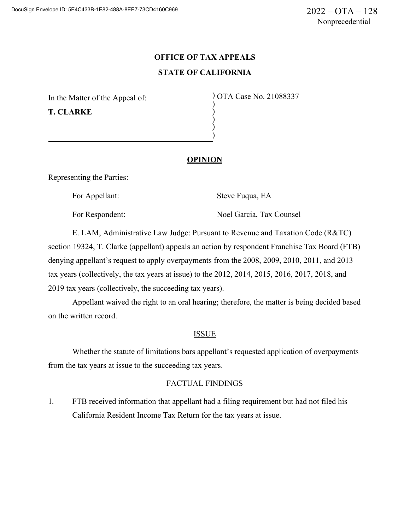# **OFFICE OF TAX APPEALS STATE OF CALIFORNIA**

) ) ) )

In the Matter of the Appeal of: **T. CLARKE**

) OTA Case No. 21088337 )

## **OPINION**

Representing the Parties:

For Appellant: Steve Fuqua, EA

For Respondent: Noel Garcia, Tax Counsel

E. LAM, Administrative Law Judge: Pursuant to Revenue and Taxation Code (R&TC) section 19324, T. Clarke (appellant) appeals an action by respondent Franchise Tax Board (FTB) denying appellant's request to apply overpayments from the 2008, 2009, 2010, 2011, and 2013 tax years (collectively, the tax years at issue) to the 2012, 2014, 2015, 2016, 2017, 2018, and 2019 tax years (collectively, the succeeding tax years).

Appellant waived the right to an oral hearing; therefore, the matter is being decided based on the written record.

#### ISSUE

Whether the statute of limitations bars appellant's requested application of overpayments from the tax years at issue to the succeeding tax years.

## FACTUAL FINDINGS

1. FTB received information that appellant had a filing requirement but had not filed his California Resident Income Tax Return for the tax years at issue.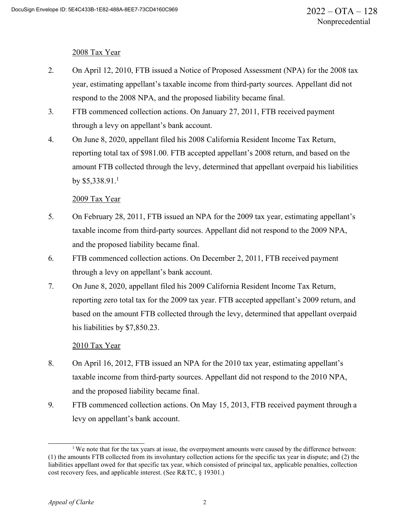### 2008 Tax Year

- 2. On April 12, 2010, FTB issued a Notice of Proposed Assessment (NPA) for the 2008 tax year, estimating appellant's taxable income from third-party sources. Appellant did not respond to the 2008 NPA, and the proposed liability became final.
- 3. FTB commenced collection actions. On January 27, 2011, FTB received payment through a levy on appellant's bank account.
- 4. On June 8, 2020, appellant filed his 2008 California Resident Income Tax Return, reporting total tax of \$981.00. FTB accepted appellant's 2008 return, and based on the amount FTB collected through the levy, determined that appellant overpaid his liabilities by  $$5,338.91$ <sup>1</sup>

## 2009 Tax Year

- 5. On February 28, 2011, FTB issued an NPA for the 2009 tax year, estimating appellant's taxable income from third-party sources. Appellant did not respond to the 2009 NPA, and the proposed liability became final.
- 6. FTB commenced collection actions. On December 2, 2011, FTB received payment through a levy on appellant's bank account.
- 7. On June 8, 2020, appellant filed his 2009 California Resident Income Tax Return, reporting zero total tax for the 2009 tax year. FTB accepted appellant's 2009 return, and based on the amount FTB collected through the levy, determined that appellant overpaid his liabilities by \$7,850.23.

## 2010 Tax Year

- 8. On April 16, 2012, FTB issued an NPA for the 2010 tax year, estimating appellant's taxable income from third-party sources. Appellant did not respond to the 2010 NPA, and the proposed liability became final.
- 9. FTB commenced collection actions. On May 15, 2013, FTB received payment through a levy on appellant's bank account.

<sup>&</sup>lt;sup>1</sup> We note that for the tax years at issue, the overpayment amounts were caused by the difference between: (1) the amounts FTB collected from its involuntary collection actions for the specific tax year in dispute; and (2) the liabilities appellant owed for that specific tax year, which consisted of principal tax, applicable penalties, collection cost recovery fees, and applicable interest. (See R&TC, § 19301.)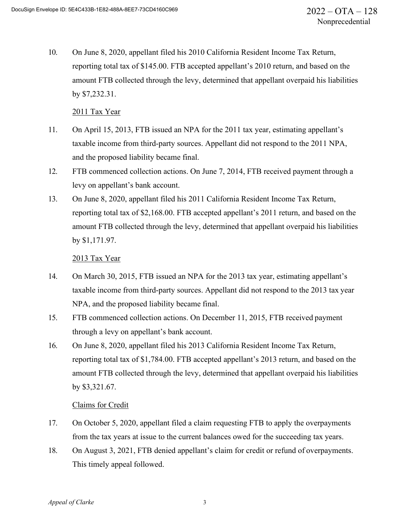10. On June 8, 2020, appellant filed his 2010 California Resident Income Tax Return, reporting total tax of \$145.00. FTB accepted appellant's 2010 return, and based on the amount FTB collected through the levy, determined that appellant overpaid his liabilities by \$7,232.31.

#### 2011 Tax Year

- 11. On April 15, 2013, FTB issued an NPA for the 2011 tax year, estimating appellant's taxable income from third-party sources. Appellant did not respond to the 2011 NPA, and the proposed liability became final.
- 12. FTB commenced collection actions. On June 7, 2014, FTB received payment through a levy on appellant's bank account.
- 13. On June 8, 2020, appellant filed his 2011 California Resident Income Tax Return, reporting total tax of \$2,168.00. FTB accepted appellant's 2011 return, and based on the amount FTB collected through the levy, determined that appellant overpaid his liabilities by \$1,171.97.

### 2013 Tax Year

- 14. On March 30, 2015, FTB issued an NPA for the 2013 tax year, estimating appellant's taxable income from third-party sources. Appellant did not respond to the 2013 tax year NPA, and the proposed liability became final.
- 15. FTB commenced collection actions. On December 11, 2015, FTB received payment through a levy on appellant's bank account.
- 16. On June 8, 2020, appellant filed his 2013 California Resident Income Tax Return, reporting total tax of \$1,784.00. FTB accepted appellant's 2013 return, and based on the amount FTB collected through the levy, determined that appellant overpaid his liabilities by \$3,321.67.

## Claims for Credit

- 17. On October 5, 2020, appellant filed a claim requesting FTB to apply the overpayments from the tax years at issue to the current balances owed for the succeeding tax years.
- 18. On August 3, 2021, FTB denied appellant's claim for credit or refund of overpayments. This timely appeal followed.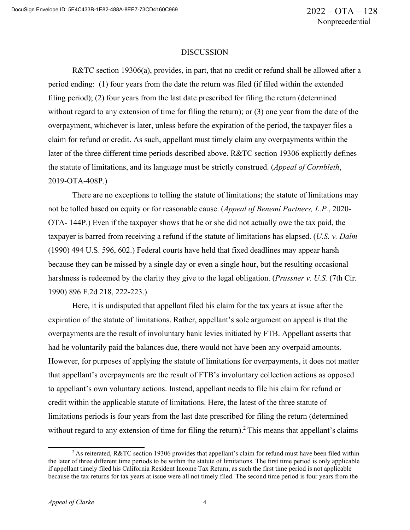#### DISCUSSION

R&TC section 19306(a), provides, in part, that no credit or refund shall be allowed after a period ending: (1) four years from the date the return was filed (if filed within the extended filing period); (2) four years from the last date prescribed for filing the return (determined without regard to any extension of time for filing the return); or (3) one year from the date of the overpayment, whichever is later, unless before the expiration of the period, the taxpayer files a claim for refund or credit. As such, appellant must timely claim any overpayments within the later of the three different time periods described above. R&TC section 19306 explicitly defines the statute of limitations, and its language must be strictly construed. (*Appeal of Cornbleth*, 2019-OTA-408P.)

There are no exceptions to tolling the statute of limitations; the statute of limitations may not be tolled based on equity or for reasonable cause. (*Appeal of Benemi Partners, L.P.*, 2020- OTA- 144P.) Even if the taxpayer shows that he or she did not actually owe the tax paid, the taxpayer is barred from receiving a refund if the statute of limitations has elapsed. (*U.S. v. Dalm*  (1990) 494 U.S. 596, 602.) Federal courts have held that fixed deadlines may appear harsh because they can be missed by a single day or even a single hour, but the resulting occasional harshness is redeemed by the clarity they give to the legal obligation. (*Prussner v. U.S.* (7th Cir. 1990) 896 F.2d 218, 222-223.)

Here, it is undisputed that appellant filed his claim for the tax years at issue after the expiration of the statute of limitations. Rather, appellant's sole argument on appeal is that the overpayments are the result of involuntary bank levies initiated by FTB. Appellant asserts that had he voluntarily paid the balances due, there would not have been any overpaid amounts. However, for purposes of applying the statute of limitations for overpayments, it does not matter that appellant's overpayments are the result of FTB's involuntary collection actions as opposed to appellant's own voluntary actions. Instead, appellant needs to file his claim for refund or credit within the applicable statute of limitations. Here, the latest of the three statute of limitations periods is four years from the last date prescribed for filing the return (determined without regard to any extension of time for filing the return).<sup>2</sup> This means that appellant's claims

<sup>&</sup>lt;sup>2</sup> As reiterated, R&TC section 19306 provides that appellant's claim for refund must have been filed within the later of three different time periods to be within the statute of limitations. The first time period is only applicable if appellant timely filed his California Resident Income Tax Return, as such the first time period is not applicable because the tax returns for tax years at issue were all not timely filed. The second time period is four years from the